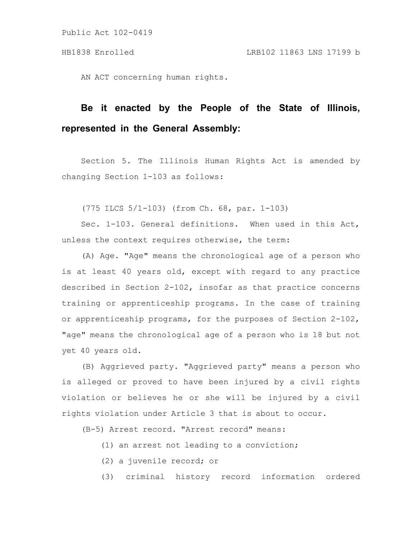AN ACT concerning human rights.

## **Be it enacted by the People of the State of Illinois, represented in the General Assembly:**

Section 5. The Illinois Human Rights Act is amended by changing Section 1-103 as follows:

(775 ILCS 5/1-103) (from Ch. 68, par. 1-103)

Sec. 1-103. General definitions. When used in this Act, unless the context requires otherwise, the term:

(A) Age. "Age" means the chronological age of a person who is at least 40 years old, except with regard to any practice described in Section 2-102, insofar as that practice concerns training or apprenticeship programs. In the case of training or apprenticeship programs, for the purposes of Section 2-102, "age" means the chronological age of a person who is 18 but not yet 40 years old.

(B) Aggrieved party. "Aggrieved party" means a person who is alleged or proved to have been injured by a civil rights violation or believes he or she will be injured by a civil rights violation under Article 3 that is about to occur.

(B-5) Arrest record. "Arrest record" means:

- (1) an arrest not leading to a conviction;
- (2) a juvenile record; or
- (3) criminal history record information ordered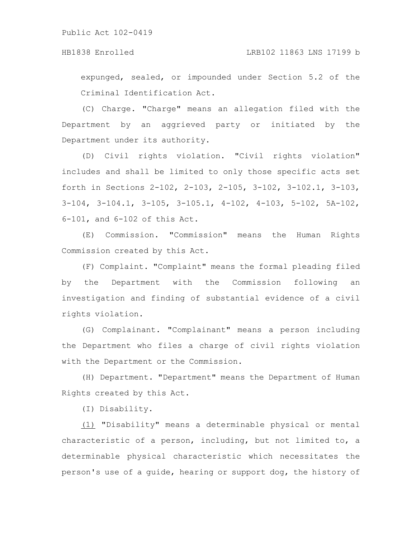expunged, sealed, or impounded under Section 5.2 of the Criminal Identification Act.

(C) Charge. "Charge" means an allegation filed with the Department by an aggrieved party or initiated by the Department under its authority.

(D) Civil rights violation. "Civil rights violation" includes and shall be limited to only those specific acts set forth in Sections 2-102, 2-103, 2-105, 3-102, 3-102.1, 3-103, 3-104, 3-104.1, 3-105, 3-105.1, 4-102, 4-103, 5-102, 5A-102, 6-101, and 6-102 of this Act.

(E) Commission. "Commission" means the Human Rights Commission created by this Act.

(F) Complaint. "Complaint" means the formal pleading filed by the Department with the Commission following an investigation and finding of substantial evidence of a civil rights violation.

(G) Complainant. "Complainant" means a person including the Department who files a charge of civil rights violation with the Department or the Commission.

(H) Department. "Department" means the Department of Human Rights created by this Act.

(I) Disability.

(1) "Disability" means a determinable physical or mental characteristic of a person, including, but not limited to, a determinable physical characteristic which necessitates the person's use of a guide, hearing or support dog, the history of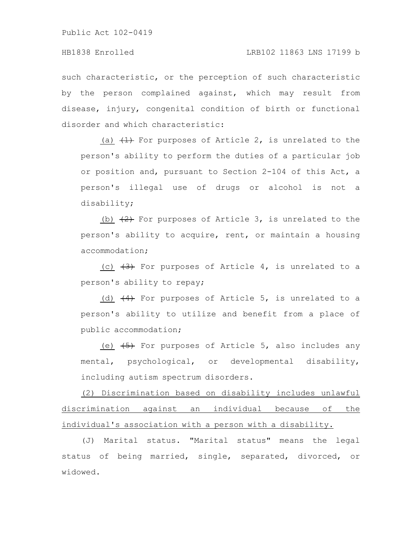such characteristic, or the perception of such characteristic by the person complained against, which may result from disease, injury, congenital condition of birth or functional disorder and which characteristic:

 $(a)$   $(1)$  For purposes of Article 2, is unrelated to the person's ability to perform the duties of a particular job or position and, pursuant to Section 2-104 of this Act, a person's illegal use of drugs or alcohol is not a disability;

 $(b)$   $(2)$  For purposes of Article 3, is unrelated to the person's ability to acquire, rent, or maintain a housing accommodation;

(c)  $(3)$  For purposes of Article 4, is unrelated to a person's ability to repay;

(d)  $(4)$  For purposes of Article 5, is unrelated to a person's ability to utilize and benefit from a place of public accommodation;

(e)  $\overline{(5)}$  For purposes of Article 5, also includes any mental, psychological, or developmental disability, including autism spectrum disorders.

(2) Discrimination based on disability includes unlawful discrimination against an individual because of the individual's association with a person with a disability.

(J) Marital status. "Marital status" means the legal status of being married, single, separated, divorced, or widowed.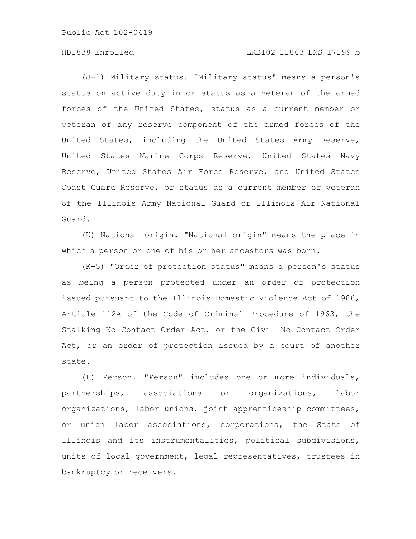## HB1838 Enrolled LRB102 11863 LNS 17199 b

(J-1) Military status. "Military status" means a person's status on active duty in or status as a veteran of the armed forces of the United States, status as a current member or veteran of any reserve component of the armed forces of the United States, including the United States Army Reserve, United States Marine Corps Reserve, United States Navy Reserve, United States Air Force Reserve, and United States Coast Guard Reserve, or status as a current member or veteran of the Illinois Army National Guard or Illinois Air National Guard.

(K) National origin. "National origin" means the place in which a person or one of his or her ancestors was born.

(K-5) "Order of protection status" means a person's status as being a person protected under an order of protection issued pursuant to the Illinois Domestic Violence Act of 1986, Article 112A of the Code of Criminal Procedure of 1963, the Stalking No Contact Order Act, or the Civil No Contact Order Act, or an order of protection issued by a court of another state.

(L) Person. "Person" includes one or more individuals, partnerships, associations or organizations, labor organizations, labor unions, joint apprenticeship committees, or union labor associations, corporations, the State of Illinois and its instrumentalities, political subdivisions, units of local government, legal representatives, trustees in bankruptcy or receivers.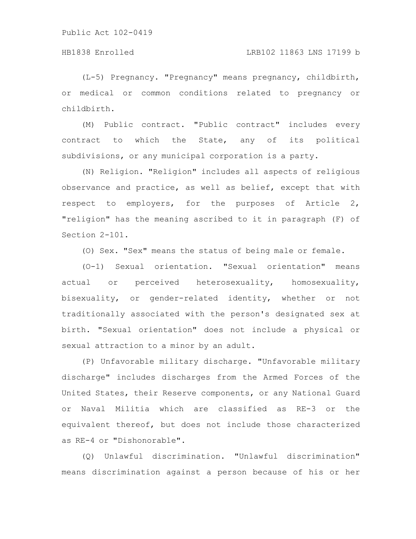## HB1838 Enrolled LRB102 11863 LNS 17199 b

(L-5) Pregnancy. "Pregnancy" means pregnancy, childbirth, or medical or common conditions related to pregnancy or childbirth.

(M) Public contract. "Public contract" includes every contract to which the State, any of its political subdivisions, or any municipal corporation is a party.

(N) Religion. "Religion" includes all aspects of religious observance and practice, as well as belief, except that with respect to employers, for the purposes of Article 2, "religion" has the meaning ascribed to it in paragraph (F) of Section 2-101.

(O) Sex. "Sex" means the status of being male or female.

(O-1) Sexual orientation. "Sexual orientation" means actual or perceived heterosexuality, homosexuality, bisexuality, or gender-related identity, whether or not traditionally associated with the person's designated sex at birth. "Sexual orientation" does not include a physical or sexual attraction to a minor by an adult.

(P) Unfavorable military discharge. "Unfavorable military discharge" includes discharges from the Armed Forces of the United States, their Reserve components, or any National Guard or Naval Militia which are classified as RE-3 or the equivalent thereof, but does not include those characterized as RE-4 or "Dishonorable".

(Q) Unlawful discrimination. "Unlawful discrimination" means discrimination against a person because of his or her